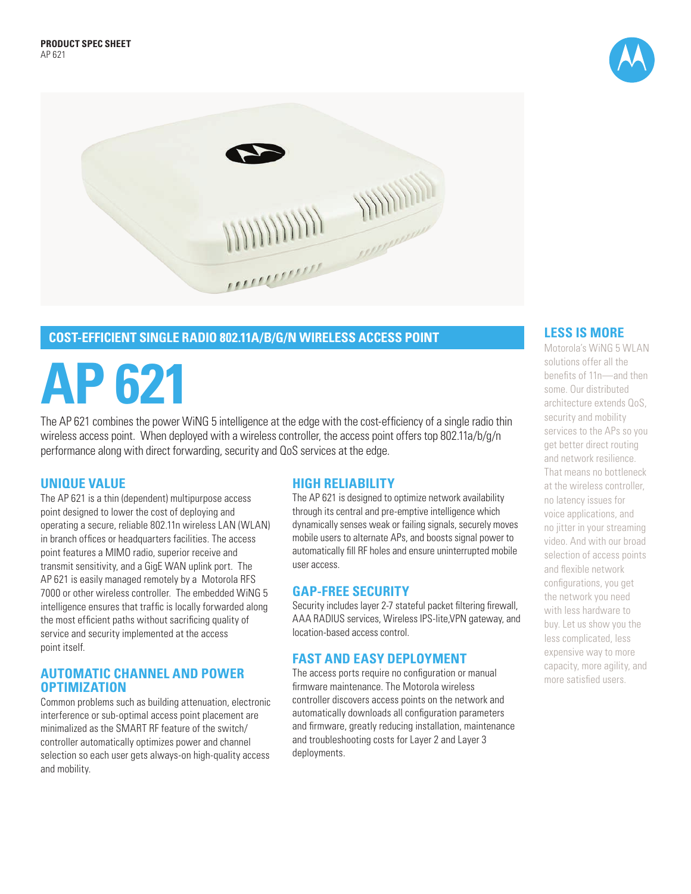



# **COST-EFFICIENT SINGLE RADIO 802.11A/B/G/N WIRELESS ACCESS POINT**

# **AP 621**

The AP 621 combines the power WiNG 5 intelligence at the edge with the cost-efficiency of a single radio thin wireless access point. When deployed with a wireless controller, the access point offers top 802.11a/b/g/n performance along with direct forwarding, security and QoS services at the edge.

## **UNIQUE VALUE**

The AP 621 is a thin (dependent) multipurpose access point designed to lower the cost of deploying and operating a secure, reliable 802.11n wireless LAN (WLAN) in branch offices or headquarters facilities. The access point features a MIMO radio, superior receive and transmit sensitivity, and a GigE WAN uplink port. The AP 621 is easily managed remotely by a Motorola RFS 7000 or other wireless controller. The embedded WiNG 5 intelligence ensures that traffic is locally forwarded along the most efficient paths without sacrificing quality of service and security implemented at the access point itself.

## **AUTOMATIC CHANNEL AND POWER OPTIMIZATION**

Common problems such as building attenuation, electronic interference or sub-optimal access point placement are minimalized as the SMART RF feature of the switch/ controller automatically optimizes power and channel selection so each user gets always-on high-quality access and mobility.

# **HIGH RELIABILITY**

The AP 621 is designed to optimize network availability through its central and pre-emptive intelligence which dynamically senses weak or failing signals, securely moves mobile users to alternate APs, and boosts signal power to automatically fill RF holes and ensure uninterrupted mobile user access.

# **GAP-FREE SECURITY**

Security includes layer 2-7 stateful packet filtering firewall, AAA RADIUS services, Wireless IPS-lite,VPN gateway, and location-based access control.

# **FAST AND EASY DEPLOYMENT**

The access ports require no configuration or manual firmware maintenance. The Motorola wireless controller discovers access points on the network and automatically downloads all configuration parameters and firmware, greatly reducing installation, maintenance and troubleshooting costs for Layer 2 and Layer 3 deployments.

# **LESS IS MORE**

Motorola's WiNG 5 WLAN solutions offer all the benefits of 11n—and then some. Our distributed architecture extends QoS, security and mobility services to the APs so you get better direct routing and network resilience. That means no bottleneck at the wireless controller, no latency issues for voice applications, and no jitter in your streaming video. And with our broad selection of access points and flexible network configurations, you get the network you need with less hardware to buy. Let us show you the less complicated, less expensive way to more capacity, more agility, and more satisfied users.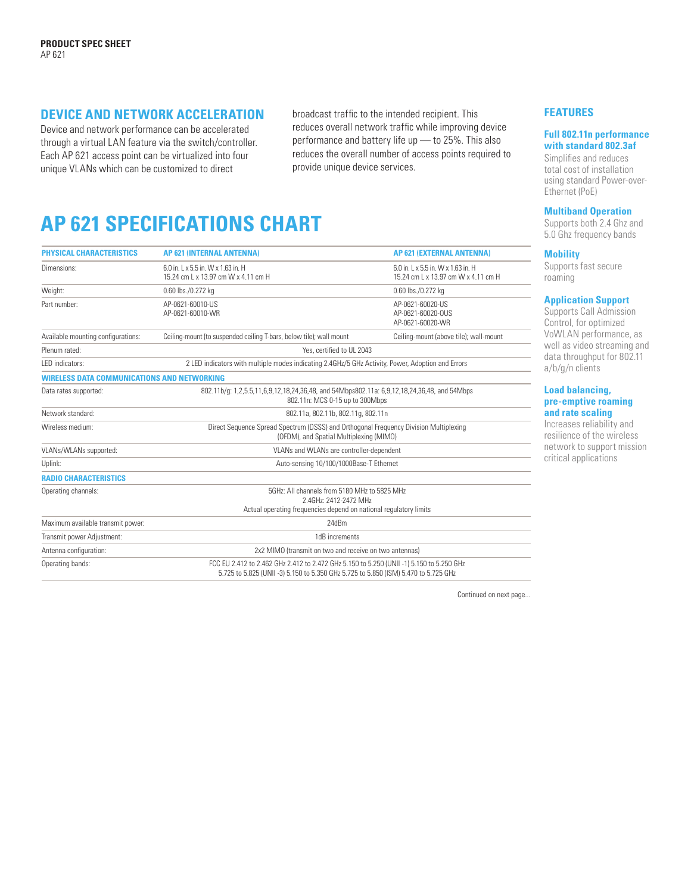# **DEVICE AND NETWORK ACCELERATION**

Device and network performance can be accelerated through a virtual LAN feature via the switch/controller. Each AP 621 access point can be virtualized into four unique VLANs which can be customized to direct

broadcast traffic to the intended recipient. This reduces overall network traffic while improving device performance and battery life up — to 25%. This also reduces the overall number of access points required to provide unique device services.

# **AP 621 SPECIFICATIONS CHART**

| PHYSICAL CHARACTERISTICS                           | <b>AP 621 (INTERNAL ANTENNA)</b>                                                                                                                                                | <b>AP 621 (EXTERNAL ANTENNA)</b>                                          |
|----------------------------------------------------|---------------------------------------------------------------------------------------------------------------------------------------------------------------------------------|---------------------------------------------------------------------------|
| Dimensions:                                        | 6.0 in. 1 x 5.5 in. W x 1.63 in. H<br>15.24 cm L x 13.97 cm W x 4.11 cm H                                                                                                       | 6.0 in.   x 5.5 in. W x 1.63 in. H<br>15.24 cm L x 13.97 cm W x 4.11 cm H |
| Weight:                                            | 0.60 lbs./0.272 kg                                                                                                                                                              | 0.60 lbs./0.272 kg                                                        |
| Part number:                                       | AP-0621-60010-US<br>AP-0621-60010-WR                                                                                                                                            | AP-0621-60020-US<br>AP-0621-60020-OUS<br>AP-0621-60020-WR                 |
| Available mounting configurations:                 | Ceiling-mount (to suspended ceiling T-bars, below tile); wall mount                                                                                                             | Ceiling-mount (above tile); wall-mount                                    |
| Plenum rated:                                      | Yes, certified to UI 2043                                                                                                                                                       |                                                                           |
| LED indicators:                                    | 2 LED indicators with multiple modes indicating 2.4GHz/5 GHz Activity, Power, Adoption and Errors                                                                               |                                                                           |
| <b>WIRELESS DATA COMMUNICATIONS AND NETWORKING</b> |                                                                                                                                                                                 |                                                                           |
| Data rates supported:                              | 802.11b/q: 1,2,5.5,11,6,9,12,18,24,36,48, and 54Mbps802.11a: 6,9,12,18,24,36,48, and 54Mbps<br>802.11n: MCS 0-15 up to 300Mbps                                                  |                                                                           |
| Network standard:                                  | 802.11a, 802.11b, 802.11g, 802.11n                                                                                                                                              |                                                                           |
| Wireless medium:                                   | Direct Sequence Spread Spectrum (DSSS) and Orthogonal Frequency Division Multiplexing<br>(OFDM), and Spatial Multiplexing (MIMO)                                                |                                                                           |
| VLANs/WLANs supported:                             | VLANs and WLANs are controller-dependent                                                                                                                                        |                                                                           |
| Uplink:                                            | Auto-sensing 10/100/1000Base-T Ethernet                                                                                                                                         |                                                                           |
| <b>RADIO CHARACTERISTICS</b>                       |                                                                                                                                                                                 |                                                                           |
| Operating channels:                                | 5GHz: All channels from 5180 MHz to 5825 MHz<br>2.4GHz: 2412-2472 MHz<br>Actual operating frequencies depend on national regulatory limits                                      |                                                                           |
| Maximum available transmit power:                  | 24dBm                                                                                                                                                                           |                                                                           |
| Transmit power Adjustment:                         | 1dB increments                                                                                                                                                                  |                                                                           |
| Antenna configuration:                             | 2x2 MIMO (transmit on two and receive on two antennas)                                                                                                                          |                                                                           |
| Operating bands:                                   | FCC EU 2.412 to 2.462 GHz 2.412 to 2.472 GHz 5.150 to 5.250 (UNII -1) 5.150 to 5.250 GHz<br>5.725 to 5.825 (UNII -3) 5.150 to 5.350 GHz 5.725 to 5.850 (ISM) 5.470 to 5.725 GHz |                                                                           |

Continued on next page...

#### **FEATURES**

#### **Full 802.11n performance with standard 802.3af**

Simplifies and reduces total cost of installation using standard Power-over-Ethernet (PoE)

#### **Multiband Operation**

Supports both 2.4 Ghz and 5.0 Ghz frequency bands

#### **Mobility**

Supports fast secure roaming

#### **Application Support**

Supports Call Admission Control, for optimized VoWLAN performance, as well as video streaming and data throughput for 802.11 a/b/g/n clients

#### **Load balancing, pre-emptive roaming and rate scaling**

Increases reliability and resilience of the wireless network to support mission critical applications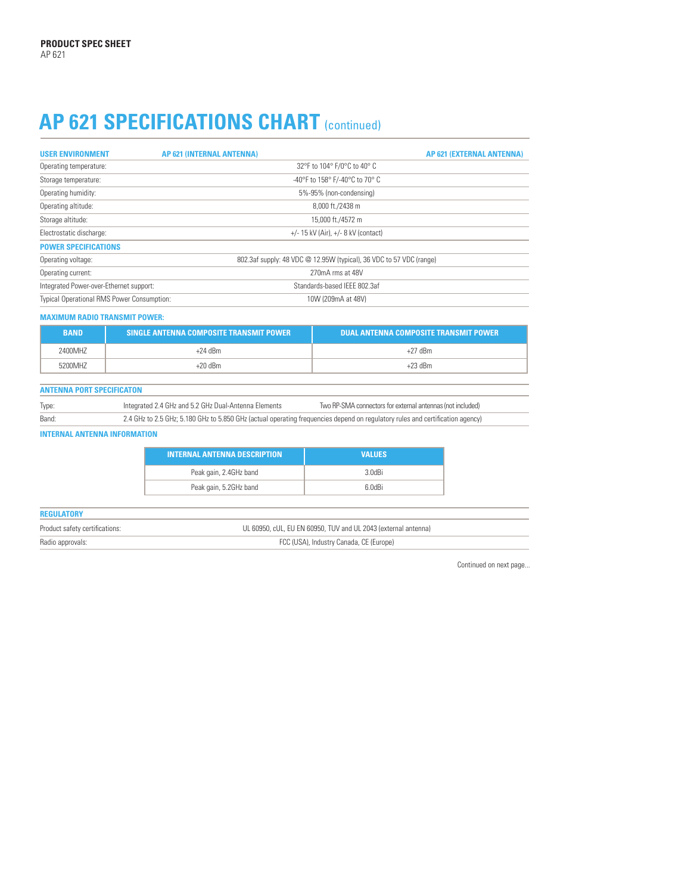# AP 621 SPECIFICATIONS CHART (continued)

| <b>USER ENVIRONMENT</b>                           | AP 621 (INTERNAL ANTENNA)                                           | AP 621 (EXTERNAL ANTENNA) |  |
|---------------------------------------------------|---------------------------------------------------------------------|---------------------------|--|
| Operating temperature:                            | 32°F to 104° F/0°C to 40° C                                         |                           |  |
| Storage temperature:                              | -40°F to 158° F/-40°C to 70° C                                      |                           |  |
| Operating humidity:                               | 5%-95% (non-condensing)                                             |                           |  |
| Operating altitude:                               | 8,000 ft./2438 m                                                    |                           |  |
| Storage altitude:                                 | 15,000 ft./4572 m                                                   |                           |  |
| Electrostatic discharge:                          | $+/-$ 15 kV (Air), $+/-$ 8 kV (contact)                             |                           |  |
| <b>POWER SPECIFICATIONS</b>                       |                                                                     |                           |  |
| Operating voltage:                                | 802.3af supply: 48 VDC @ 12.95W (typical), 36 VDC to 57 VDC (range) |                           |  |
| Operating current:                                | 270mA rms at 48V                                                    |                           |  |
| Integrated Power-over-Ethernet support:           | Standards-based IFFF 802.3af                                        |                           |  |
| <b>Typical Operational RMS Power Consumption:</b> | 10W (209mA at 48V)                                                  |                           |  |

#### **MAXIMUM RADIO TRANSMIT POWER:**

| <b>BAND</b> | SINGLE ANTENNA COMPOSITE TRANSMIT POWER | DUAL ANTENNA COMPOSITE TRANSMIT POWER |
|-------------|-----------------------------------------|---------------------------------------|
| 2400MHZ     | +24 dBm                                 | $+27$ dBm                             |
| 5200MH7     | $+20$ dBm                               | $+23$ dBm                             |

# **ANTENNA PORT SPECIFICATON**

| Type: | Integrated 2.4 GHz and 5.2 GHz Dual-Antenna Elements                                                                          | Two RP-SMA connectors for external antennas (not included) |
|-------|-------------------------------------------------------------------------------------------------------------------------------|------------------------------------------------------------|
| Band: | 2.4 GHz to 2.5 GHz; 5.180 GHz to 5.850 GHz (actual operating frequencies depend on regulatory rules and certification agency) |                                                            |

#### **INTERNAL ANTENNA INFORMATION**

| <b>INTERNAL ANTENNA DESCRIPTION</b> | <b>VALUES</b> |
|-------------------------------------|---------------|
| Peak gain, 2.4GHz band              | 3.0dBi        |
| Peak gain, 5.2GHz band              | 6 OdBi        |

| <b>REGULATORY</b>              |                                                                |
|--------------------------------|----------------------------------------------------------------|
| Product safety certifications: | UL 60950, cUL, EU EN 60950, TUV and UL 2043 (external antenna) |
| Radio approvals:               | FCC (USA), Industry Canada, CE (Europe)                        |

Continued on next page...